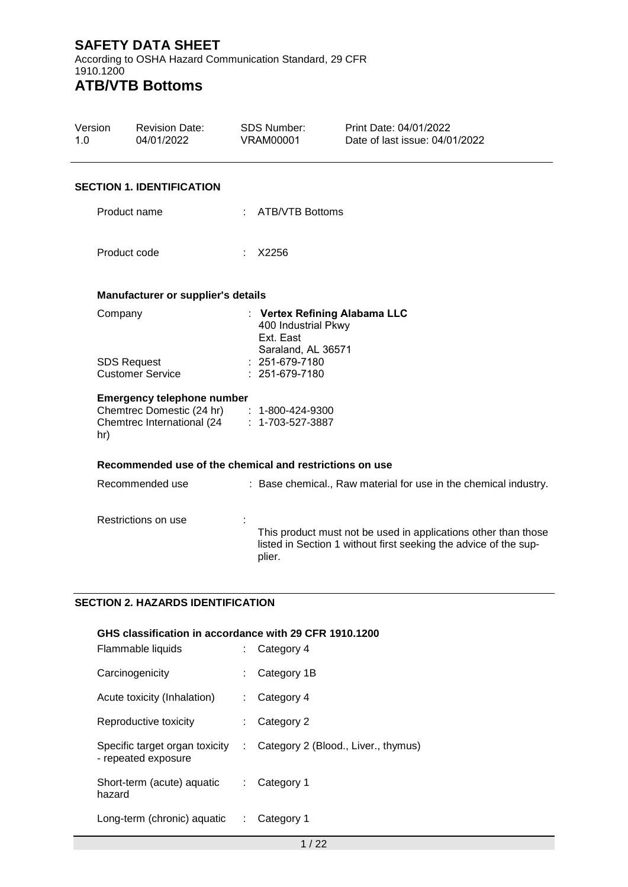According to OSHA Hazard Communication Standard, 29 CFR 1910.1200 **ATB/VTB Bottoms**

| Version<br>1.0 | <b>Revision Date:</b><br>04/01/2022                                                                           | <b>SDS Number:</b><br><b>VRAM00001</b>                                     | Print Date: 04/01/2022<br>Date of last issue: 04/01/2022                                                                           |
|----------------|---------------------------------------------------------------------------------------------------------------|----------------------------------------------------------------------------|------------------------------------------------------------------------------------------------------------------------------------|
|                | <b>SECTION 1. IDENTIFICATION</b>                                                                              |                                                                            |                                                                                                                                    |
|                | Product name                                                                                                  | : ATB/VTB Bottoms                                                          |                                                                                                                                    |
|                | Product code                                                                                                  | X2256                                                                      |                                                                                                                                    |
|                | Manufacturer or supplier's details                                                                            |                                                                            |                                                                                                                                    |
|                | Company<br><b>SDS Request</b>                                                                                 | 400 Industrial Pkwy<br>Ext. East<br>Saraland, AL 36571<br>$: 251-679-7180$ | : Vertex Refining Alabama LLC                                                                                                      |
|                | <b>Customer Service</b>                                                                                       | : 251-679-7180                                                             |                                                                                                                                    |
| hr)            | <b>Emergency telephone number</b><br>Chemtrec Domestic (24 hr) : 1-800-424-9300<br>Chemtrec International (24 | $: 1 - 703 - 527 - 3887$                                                   |                                                                                                                                    |
|                | Recommended use of the chemical and restrictions on use                                                       |                                                                            |                                                                                                                                    |
|                | Recommended use                                                                                               |                                                                            | : Base chemical., Raw material for use in the chemical industry.                                                                   |
|                | Restrictions on use                                                                                           | plier.                                                                     | This product must not be used in applications other than those<br>listed in Section 1 without first seeking the advice of the sup- |

#### **SECTION 2. HAZARDS IDENTIFICATION**

| GHS classification in accordance with 29 CFR 1910.1200<br>Flammable liquids |    | Category 4                          |
|-----------------------------------------------------------------------------|----|-------------------------------------|
| Carcinogenicity                                                             |    | Category 1B                         |
| Acute toxicity (Inhalation)                                                 |    | Category 4                          |
| Reproductive toxicity                                                       | t. | Category 2                          |
| Specific target organ toxicity<br>- repeated exposure                       | ÷  | Category 2 (Blood., Liver., thymus) |
| Short-term (acute) aquatic<br>hazard                                        | t. | Category 1                          |
| Long-term (chronic) aquatic                                                 | ÷  | Category 1                          |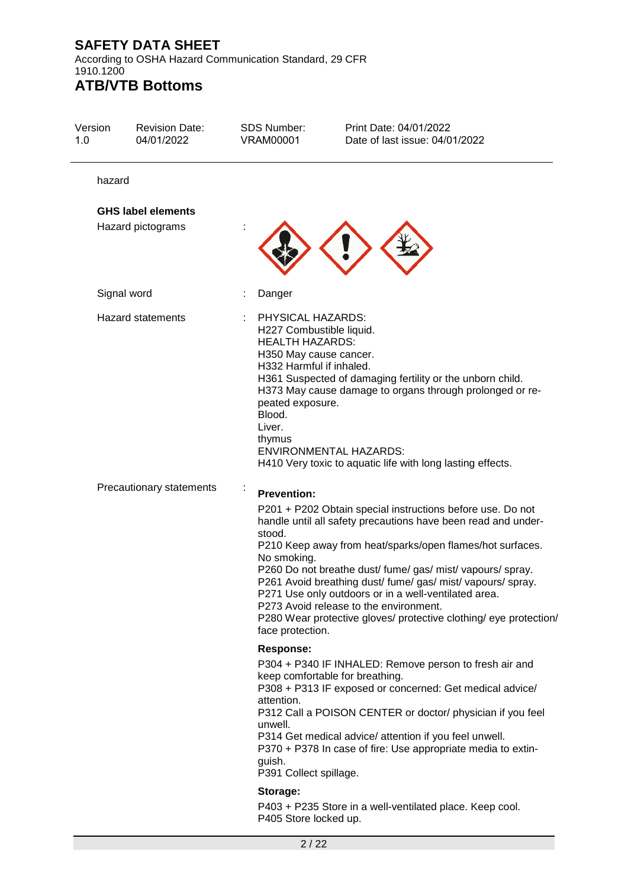According to OSHA Hazard Communication Standard, 29 CFR 1910.1200

# **ATB/VTB Bottoms**

| Version<br>1.0 | <b>Revision Date:</b><br>04/01/2022 | <b>SDS Number:</b><br><b>VRAM00001</b>                                                                             | Print Date: 04/01/2022<br>Date of last issue: 04/01/2022                                                                                                                                                                                                                                                                                                                                                                                                                                     |
|----------------|-------------------------------------|--------------------------------------------------------------------------------------------------------------------|----------------------------------------------------------------------------------------------------------------------------------------------------------------------------------------------------------------------------------------------------------------------------------------------------------------------------------------------------------------------------------------------------------------------------------------------------------------------------------------------|
| hazard         |                                     |                                                                                                                    |                                                                                                                                                                                                                                                                                                                                                                                                                                                                                              |
|                | <b>GHS label elements</b>           |                                                                                                                    |                                                                                                                                                                                                                                                                                                                                                                                                                                                                                              |
|                | Hazard pictograms                   |                                                                                                                    |                                                                                                                                                                                                                                                                                                                                                                                                                                                                                              |
|                | Signal word                         | Danger                                                                                                             |                                                                                                                                                                                                                                                                                                                                                                                                                                                                                              |
|                | <b>Hazard statements</b>            | PHYSICAL HAZARDS:<br><b>HEALTH HAZARDS:</b><br>peated exposure.<br>Blood.<br>Liver.<br>thymus                      | H227 Combustible liquid.<br>H350 May cause cancer.<br>H332 Harmful if inhaled.<br>H361 Suspected of damaging fertility or the unborn child.<br>H373 May cause damage to organs through prolonged or re-<br><b>ENVIRONMENTAL HAZARDS:</b><br>H410 Very toxic to aquatic life with long lasting effects.                                                                                                                                                                                       |
|                | Precautionary statements            | $\blacksquare$<br><b>Prevention:</b><br>stood.<br>No smoking.<br>face protection.                                  | P201 + P202 Obtain special instructions before use. Do not<br>handle until all safety precautions have been read and under-<br>P210 Keep away from heat/sparks/open flames/hot surfaces.<br>P260 Do not breathe dust/ fume/ gas/ mist/ vapours/ spray.<br>P261 Avoid breathing dust/ fume/ gas/ mist/ vapours/ spray.<br>P271 Use only outdoors or in a well-ventilated area.<br>P273 Avoid release to the environment.<br>P280 Wear protective gloves/ protective clothing/ eye protection/ |
|                |                                     | <b>Response:</b><br>attention.<br>unwell.<br>guish.<br>P391 Collect spillage.<br>Storage:<br>P405 Store locked up. | P304 + P340 IF INHALED: Remove person to fresh air and<br>keep comfortable for breathing.<br>P308 + P313 IF exposed or concerned: Get medical advice/<br>P312 Call a POISON CENTER or doctor/ physician if you feel<br>P314 Get medical advice/ attention if you feel unwell.<br>P370 + P378 In case of fire: Use appropriate media to extin-<br>P403 + P235 Store in a well-ventilated place. Keep cool.                                                                                    |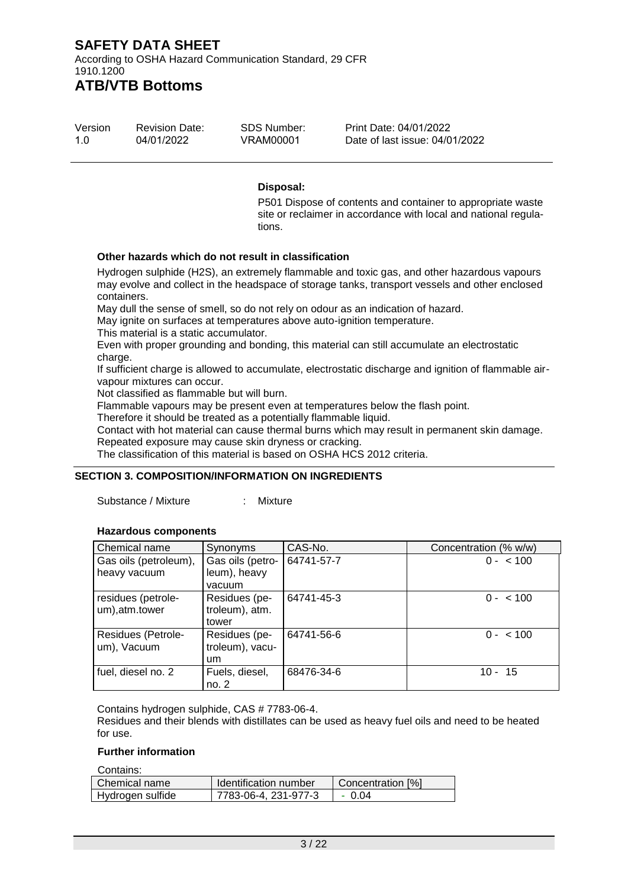According to OSHA Hazard Communication Standard, 29 CFR 1910.1200

# **ATB/VTB Bottoms**

| Version | <b>Revision Date:</b> | SDS Number: | Print Date: 04/01/2022         |
|---------|-----------------------|-------------|--------------------------------|
| 1.O     | 04/01/2022            | VRAM00001   | Date of last issue: 04/01/2022 |

#### **Disposal:**

P501 Dispose of contents and container to appropriate waste site or reclaimer in accordance with local and national regulations.

#### **Other hazards which do not result in classification**

Hydrogen sulphide (H2S), an extremely flammable and toxic gas, and other hazardous vapours may evolve and collect in the headspace of storage tanks, transport vessels and other enclosed containers.

May dull the sense of smell, so do not rely on odour as an indication of hazard.

May ignite on surfaces at temperatures above auto-ignition temperature.

This material is a static accumulator.

Even with proper grounding and bonding, this material can still accumulate an electrostatic charge.

If sufficient charge is allowed to accumulate, electrostatic discharge and ignition of flammable airvapour mixtures can occur.

Not classified as flammable but will burn.

Flammable vapours may be present even at temperatures below the flash point.

Therefore it should be treated as a potentially flammable liquid.

Contact with hot material can cause thermal burns which may result in permanent skin damage.

Repeated exposure may cause skin dryness or cracking.

The classification of this material is based on OSHA HCS 2012 criteria.

#### **SECTION 3. COMPOSITION/INFORMATION ON INGREDIENTS**

Substance / Mixture : Mixture

#### **Hazardous components**

| Chemical name                         | Synonyms                                 | CAS-No.    | Concentration (% w/w) |
|---------------------------------------|------------------------------------------|------------|-----------------------|
| Gas oils (petroleum),<br>heavy vacuum | Gas oils (petro-<br>leum), heavy         | 64741-57-7 | $0 - 100$             |
|                                       | vacuum                                   |            |                       |
| residues (petrole-<br>um), atm.tower  | Residues (pe-<br>troleum), atm.<br>tower | 64741-45-3 | $0 - 100$             |
| Residues (Petrole-<br>um), Vacuum     | Residues (pe-<br>troleum), vacu-<br>um   | 64741-56-6 | $0 - 100$             |
| fuel, diesel no. 2                    | Fuels, diesel,<br>no. 2                  | 68476-34-6 | $10 - 15$             |

Contains hydrogen sulphide, CAS # 7783-06-4.

Residues and their blends with distillates can be used as heavy fuel oils and need to be heated for use.

#### **Further information**

Contains:

| l Chemical name  | Identification number | Concentration [%] |
|------------------|-----------------------|-------------------|
| Hydrogen sulfide | 7783-06-4, 231-977-3  | - 0.04            |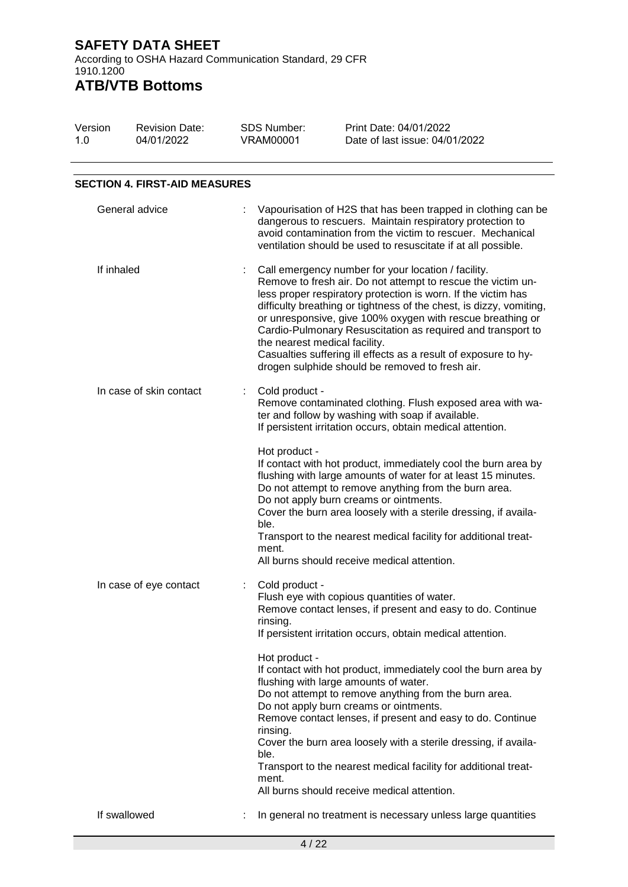According to OSHA Hazard Communication Standard, 29 CFR 1910.1200 **ATB/VTB Bottoms**

#### Version 1.0 Revision Date: 04/01/2022 SDS Number: VRAM00001 Print Date: 04/01/2022 Date of last issue: 04/01/2022 **SECTION 4. FIRST-AID MEASURES** General advice : Vapourisation of H2S that has been trapped in clothing can be dangerous to rescuers. Maintain respiratory protection to avoid contamination from the victim to rescuer. Mechanical ventilation should be used to resuscitate if at all possible. If inhaled : Call emergency number for your location / facility. Remove to fresh air. Do not attempt to rescue the victim unless proper respiratory protection is worn. If the victim has difficulty breathing or tightness of the chest, is dizzy, vomiting, or unresponsive, give 100% oxygen with rescue breathing or Cardio-Pulmonary Resuscitation as required and transport to the nearest medical facility. Casualties suffering ill effects as a result of exposure to hydrogen sulphide should be removed to fresh air. In case of skin contact : Cold product -Remove contaminated clothing. Flush exposed area with water and follow by washing with soap if available. If persistent irritation occurs, obtain medical attention. Hot product - If contact with hot product, immediately cool the burn area by flushing with large amounts of water for at least 15 minutes. Do not attempt to remove anything from the burn area. Do not apply burn creams or ointments. Cover the burn area loosely with a sterile dressing, if available. Transport to the nearest medical facility for additional treatment. All burns should receive medical attention. In case of eye contact : Cold product -Flush eye with copious quantities of water. Remove contact lenses, if present and easy to do. Continue rinsing. If persistent irritation occurs, obtain medical attention. Hot product - If contact with hot product, immediately cool the burn area by flushing with large amounts of water. Do not attempt to remove anything from the burn area. Do not apply burn creams or ointments. Remove contact lenses, if present and easy to do. Continue rinsing. Cover the burn area loosely with a sterile dressing, if available. Transport to the nearest medical facility for additional treatment. All burns should receive medical attention. If swallowed : In general no treatment is necessary unless large quantities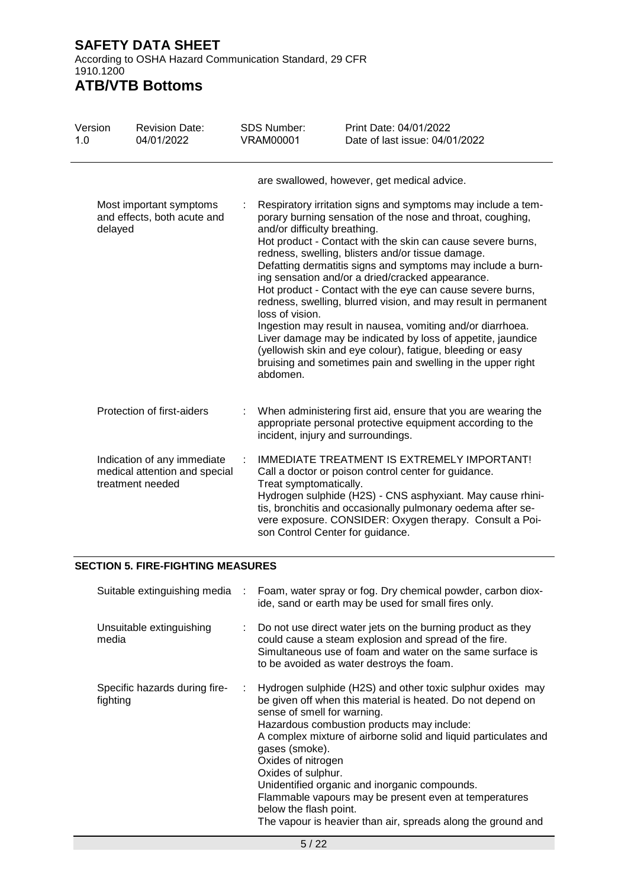According to OSHA Hazard Communication Standard, 29 CFR 1910.1200

## **ATB/VTB Bottoms**

| Version<br>1.0 | <b>Revision Date:</b><br>04/01/2022                                              | <b>SDS Number:</b><br><b>VRAM00001</b> | Print Date: 04/01/2022<br>Date of last issue: 04/01/2022                                                                                                                                                                                                                                                                                                                                                                                                                                                                                                                                                                                                                                                                                                                                    |
|----------------|----------------------------------------------------------------------------------|----------------------------------------|---------------------------------------------------------------------------------------------------------------------------------------------------------------------------------------------------------------------------------------------------------------------------------------------------------------------------------------------------------------------------------------------------------------------------------------------------------------------------------------------------------------------------------------------------------------------------------------------------------------------------------------------------------------------------------------------------------------------------------------------------------------------------------------------|
|                |                                                                                  |                                        | are swallowed, however, get medical advice.                                                                                                                                                                                                                                                                                                                                                                                                                                                                                                                                                                                                                                                                                                                                                 |
| delayed        | Most important symptoms<br>and effects, both acute and                           | loss of vision.<br>abdomen.            | Respiratory irritation signs and symptoms may include a tem-<br>porary burning sensation of the nose and throat, coughing,<br>and/or difficulty breathing.<br>Hot product - Contact with the skin can cause severe burns,<br>redness, swelling, blisters and/or tissue damage.<br>Defatting dermatitis signs and symptoms may include a burn-<br>ing sensation and/or a dried/cracked appearance.<br>Hot product - Contact with the eye can cause severe burns,<br>redness, swelling, blurred vision, and may result in permanent<br>Ingestion may result in nausea, vomiting and/or diarrhoea.<br>Liver damage may be indicated by loss of appetite, jaundice<br>(yellowish skin and eye colour), fatigue, bleeding or easy<br>bruising and sometimes pain and swelling in the upper right |
|                | Protection of first-aiders                                                       |                                        | When administering first aid, ensure that you are wearing the<br>appropriate personal protective equipment according to the<br>incident, injury and surroundings.                                                                                                                                                                                                                                                                                                                                                                                                                                                                                                                                                                                                                           |
|                | Indication of any immediate<br>medical attention and special<br>treatment needed | Treat symptomatically.                 | IMMEDIATE TREATMENT IS EXTREMELY IMPORTANT!<br>Call a doctor or poison control center for guidance.<br>Hydrogen sulphide (H2S) - CNS asphyxiant. May cause rhini-<br>tis, bronchitis and occasionally pulmonary oedema after se-<br>vere exposure. CONSIDER: Oxygen therapy. Consult a Poi-<br>son Control Center for guidance.                                                                                                                                                                                                                                                                                                                                                                                                                                                             |

#### **SECTION 5. FIRE-FIGHTING MEASURES**

| Suitable extinguishing media              | ÷. | Foam, water spray or fog. Dry chemical powder, carbon diox-<br>ide, sand or earth may be used for small fires only.                                                                                                                                                                                                                                                                                                                                                                                                                         |
|-------------------------------------------|----|---------------------------------------------------------------------------------------------------------------------------------------------------------------------------------------------------------------------------------------------------------------------------------------------------------------------------------------------------------------------------------------------------------------------------------------------------------------------------------------------------------------------------------------------|
| Unsuitable extinguishing<br>media         |    | Do not use direct water jets on the burning product as they<br>could cause a steam explosion and spread of the fire.<br>Simultaneous use of foam and water on the same surface is<br>to be avoided as water destroys the foam.                                                                                                                                                                                                                                                                                                              |
| Specific hazards during fire-<br>fighting | ÷. | Hydrogen sulphide (H2S) and other toxic sulphur oxides may<br>be given off when this material is heated. Do not depend on<br>sense of smell for warning.<br>Hazardous combustion products may include:<br>A complex mixture of airborne solid and liquid particulates and<br>gases (smoke).<br>Oxides of nitrogen<br>Oxides of sulphur.<br>Unidentified organic and inorganic compounds.<br>Flammable vapours may be present even at temperatures<br>below the flash point.<br>The vapour is heavier than air, spreads along the ground and |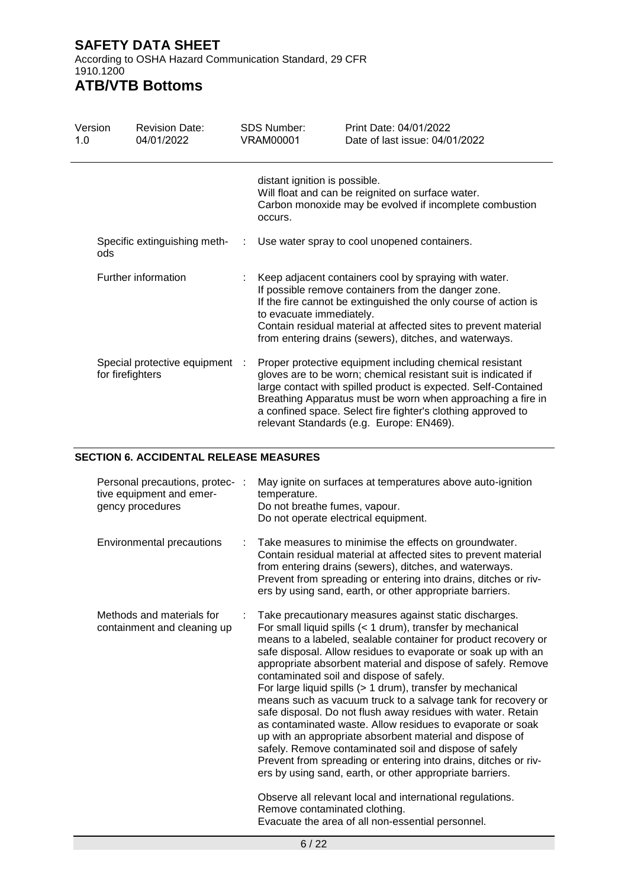According to OSHA Hazard Communication Standard, 29 CFR 1910.1200

# **ATB/VTB Bottoms**

| Version<br>1.0 | <b>Revision Date:</b><br>04/01/2022                | <b>SDS Number:</b><br><b>VRAM00001</b>   | Print Date: 04/01/2022<br>Date of last issue: 04/01/2022                                                                                                                                                                                                                                                                                                                |
|----------------|----------------------------------------------------|------------------------------------------|-------------------------------------------------------------------------------------------------------------------------------------------------------------------------------------------------------------------------------------------------------------------------------------------------------------------------------------------------------------------------|
|                |                                                    | distant ignition is possible.<br>occurs. | Will float and can be reignited on surface water.<br>Carbon monoxide may be evolved if incomplete combustion                                                                                                                                                                                                                                                            |
| ods            | Specific extinguishing meth-                       |                                          | Use water spray to cool unopened containers.                                                                                                                                                                                                                                                                                                                            |
|                | Further information                                | to evacuate immediately.                 | Keep adjacent containers cool by spraying with water.<br>If possible remove containers from the danger zone.<br>If the fire cannot be extinguished the only course of action is<br>Contain residual material at affected sites to prevent material<br>from entering drains (sewers), ditches, and waterways.                                                            |
|                | Special protective equipment :<br>for firefighters |                                          | Proper protective equipment including chemical resistant<br>gloves are to be worn; chemical resistant suit is indicated if<br>large contact with spilled product is expected. Self-Contained<br>Breathing Apparatus must be worn when approaching a fire in<br>a confined space. Select fire fighter's clothing approved to<br>relevant Standards (e.g. Europe: EN469). |

#### **SECTION 6. ACCIDENTAL RELEASE MEASURES**

| Personal precautions, protec- :<br>tive equipment and emer-<br>gency procedures |    | May ignite on surfaces at temperatures above auto-ignition<br>temperature.<br>Do not breathe fumes, vapour.<br>Do not operate electrical equipment.                                                                                                                                                                                                                                                                                                                                                                                                                                                                                                                                                                                                                                                                                                                                                                                                                                                                                     |
|---------------------------------------------------------------------------------|----|-----------------------------------------------------------------------------------------------------------------------------------------------------------------------------------------------------------------------------------------------------------------------------------------------------------------------------------------------------------------------------------------------------------------------------------------------------------------------------------------------------------------------------------------------------------------------------------------------------------------------------------------------------------------------------------------------------------------------------------------------------------------------------------------------------------------------------------------------------------------------------------------------------------------------------------------------------------------------------------------------------------------------------------------|
| Environmental precautions                                                       | ÷. | Take measures to minimise the effects on groundwater.<br>Contain residual material at affected sites to prevent material<br>from entering drains (sewers), ditches, and waterways.<br>Prevent from spreading or entering into drains, ditches or riv-<br>ers by using sand, earth, or other appropriate barriers.                                                                                                                                                                                                                                                                                                                                                                                                                                                                                                                                                                                                                                                                                                                       |
| Methods and materials for<br>containment and cleaning up                        |    | Take precautionary measures against static discharges.<br>For small liquid spills (< 1 drum), transfer by mechanical<br>means to a labeled, sealable container for product recovery or<br>safe disposal. Allow residues to evaporate or soak up with an<br>appropriate absorbent material and dispose of safely. Remove<br>contaminated soil and dispose of safely.<br>For large liquid spills (> 1 drum), transfer by mechanical<br>means such as vacuum truck to a salvage tank for recovery or<br>safe disposal. Do not flush away residues with water. Retain<br>as contaminated waste. Allow residues to evaporate or soak<br>up with an appropriate absorbent material and dispose of<br>safely. Remove contaminated soil and dispose of safely<br>Prevent from spreading or entering into drains, ditches or riv-<br>ers by using sand, earth, or other appropriate barriers.<br>Observe all relevant local and international regulations.<br>Remove contaminated clothing.<br>Evacuate the area of all non-essential personnel. |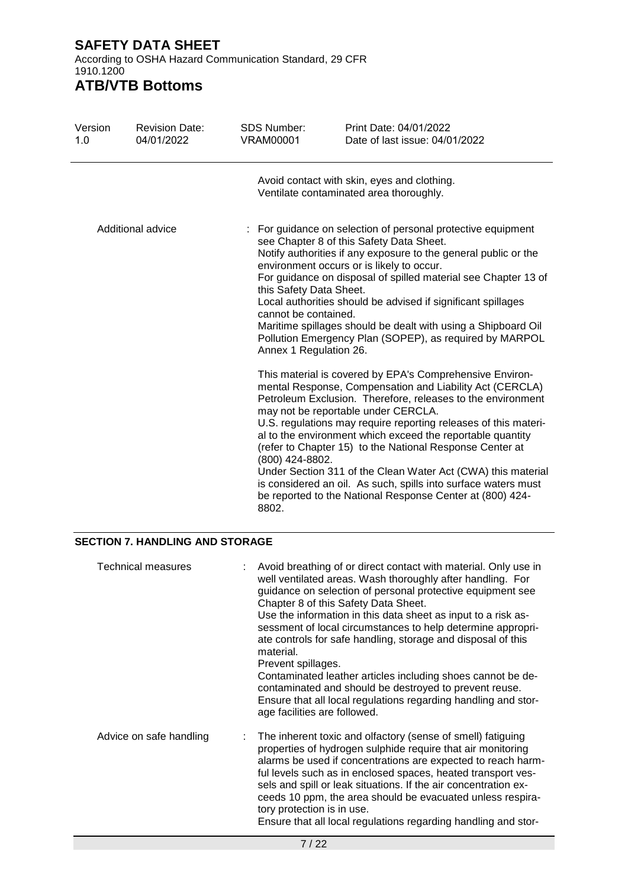According to OSHA Hazard Communication Standard, 29 CFR 1910.1200

# **ATB/VTB Bottoms**

| Version<br>1.0    | <b>Revision Date:</b><br>04/01/2022 | <b>SDS Number:</b><br><b>VRAM00001</b>                                    | Print Date: 04/01/2022<br>Date of last issue: 04/01/2022                                                                                                                                                                                                                                                                                                                                                                                                                                                                                                                                                               |
|-------------------|-------------------------------------|---------------------------------------------------------------------------|------------------------------------------------------------------------------------------------------------------------------------------------------------------------------------------------------------------------------------------------------------------------------------------------------------------------------------------------------------------------------------------------------------------------------------------------------------------------------------------------------------------------------------------------------------------------------------------------------------------------|
|                   |                                     |                                                                           | Avoid contact with skin, eyes and clothing.<br>Ventilate contaminated area thoroughly.                                                                                                                                                                                                                                                                                                                                                                                                                                                                                                                                 |
| Additional advice |                                     | this Safety Data Sheet.<br>cannot be contained.<br>Annex 1 Regulation 26. | : For guidance on selection of personal protective equipment<br>see Chapter 8 of this Safety Data Sheet.<br>Notify authorities if any exposure to the general public or the<br>environment occurs or is likely to occur.<br>For guidance on disposal of spilled material see Chapter 13 of<br>Local authorities should be advised if significant spillages<br>Maritime spillages should be dealt with using a Shipboard Oil<br>Pollution Emergency Plan (SOPEP), as required by MARPOL                                                                                                                                 |
|                   |                                     | (800) 424-8802.<br>8802.                                                  | This material is covered by EPA's Comprehensive Environ-<br>mental Response, Compensation and Liability Act (CERCLA)<br>Petroleum Exclusion. Therefore, releases to the environment<br>may not be reportable under CERCLA.<br>U.S. regulations may require reporting releases of this materi-<br>al to the environment which exceed the reportable quantity<br>(refer to Chapter 15) to the National Response Center at<br>Under Section 311 of the Clean Water Act (CWA) this material<br>is considered an oil. As such, spills into surface waters must<br>be reported to the National Response Center at (800) 424- |

#### **SECTION 7. HANDLING AND STORAGE**

| <b>Technical measures</b> | Avoid breathing of or direct contact with material. Only use in<br>well ventilated areas. Wash thoroughly after handling. For<br>guidance on selection of personal protective equipment see<br>Chapter 8 of this Safety Data Sheet.<br>Use the information in this data sheet as input to a risk as-<br>sessment of local circumstances to help determine appropri-<br>ate controls for safe handling, storage and disposal of this<br>material.<br>Prevent spillages.<br>Contaminated leather articles including shoes cannot be de-<br>contaminated and should be destroyed to prevent reuse.<br>Ensure that all local regulations regarding handling and stor-<br>age facilities are followed. |
|---------------------------|---------------------------------------------------------------------------------------------------------------------------------------------------------------------------------------------------------------------------------------------------------------------------------------------------------------------------------------------------------------------------------------------------------------------------------------------------------------------------------------------------------------------------------------------------------------------------------------------------------------------------------------------------------------------------------------------------|
| Advice on safe handling   | The inherent toxic and olfactory (sense of smell) fatiguing<br>properties of hydrogen sulphide require that air monitoring<br>alarms be used if concentrations are expected to reach harm-<br>ful levels such as in enclosed spaces, heated transport ves-<br>sels and spill or leak situations. If the air concentration ex-<br>ceeds 10 ppm, the area should be evacuated unless respira-<br>tory protection is in use.<br>Ensure that all local regulations regarding handling and stor-                                                                                                                                                                                                       |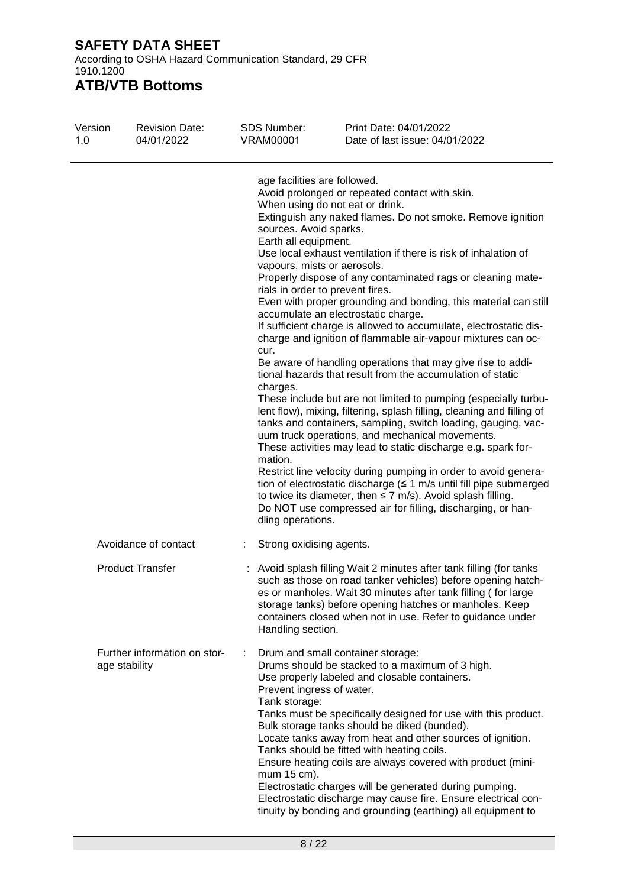According to OSHA Hazard Communication Standard, 29 CFR 1910.1200

# **ATB/VTB Bottoms**

| Version<br>1.0 | <b>Revision Date:</b><br>04/01/2022           | <b>SDS Number:</b><br><b>VRAM00001</b>                                                                                                                                                                | Print Date: 04/01/2022<br>Date of last issue: 04/01/2022                                                                                                                                                                                                                                                                                                                                                                                                                                                                                                                                                                                                                                                                                                                                                                                                                                                                                                                                                                                                                                                                                                                                                                                                                                    |
|----------------|-----------------------------------------------|-------------------------------------------------------------------------------------------------------------------------------------------------------------------------------------------------------|---------------------------------------------------------------------------------------------------------------------------------------------------------------------------------------------------------------------------------------------------------------------------------------------------------------------------------------------------------------------------------------------------------------------------------------------------------------------------------------------------------------------------------------------------------------------------------------------------------------------------------------------------------------------------------------------------------------------------------------------------------------------------------------------------------------------------------------------------------------------------------------------------------------------------------------------------------------------------------------------------------------------------------------------------------------------------------------------------------------------------------------------------------------------------------------------------------------------------------------------------------------------------------------------|
|                |                                               | age facilities are followed.<br>sources. Avoid sparks.<br>Earth all equipment.<br>vapours, mists or aerosols.<br>rials in order to prevent fires.<br>cur.<br>charges.<br>mation.<br>dling operations. | Avoid prolonged or repeated contact with skin.<br>When using do not eat or drink.<br>Extinguish any naked flames. Do not smoke. Remove ignition<br>Use local exhaust ventilation if there is risk of inhalation of<br>Properly dispose of any contaminated rags or cleaning mate-<br>Even with proper grounding and bonding, this material can still<br>accumulate an electrostatic charge.<br>If sufficient charge is allowed to accumulate, electrostatic dis-<br>charge and ignition of flammable air-vapour mixtures can oc-<br>Be aware of handling operations that may give rise to addi-<br>tional hazards that result from the accumulation of static<br>These include but are not limited to pumping (especially turbu-<br>lent flow), mixing, filtering, splash filling, cleaning and filling of<br>tanks and containers, sampling, switch loading, gauging, vac-<br>uum truck operations, and mechanical movements.<br>These activities may lead to static discharge e.g. spark for-<br>Restrict line velocity during pumping in order to avoid genera-<br>tion of electrostatic discharge $( \leq 1 \text{ m/s} )$ until fill pipe submerged<br>to twice its diameter, then $\leq$ 7 m/s). Avoid splash filling.<br>Do NOT use compressed air for filling, discharging, or han- |
|                | Avoidance of contact                          | Strong oxidising agents.                                                                                                                                                                              |                                                                                                                                                                                                                                                                                                                                                                                                                                                                                                                                                                                                                                                                                                                                                                                                                                                                                                                                                                                                                                                                                                                                                                                                                                                                                             |
|                | <b>Product Transfer</b>                       | Handling section.                                                                                                                                                                                     | : Avoid splash filling Wait 2 minutes after tank filling (for tanks<br>such as those on road tanker vehicles) before opening hatch-<br>es or manholes. Wait 30 minutes after tank filling (for large<br>storage tanks) before opening hatches or manholes. Keep<br>containers closed when not in use. Refer to guidance under                                                                                                                                                                                                                                                                                                                                                                                                                                                                                                                                                                                                                                                                                                                                                                                                                                                                                                                                                               |
|                | Further information on stor-<br>age stability | Prevent ingress of water.<br>Tank storage:<br>mum 15 cm).                                                                                                                                             | Drum and small container storage:<br>Drums should be stacked to a maximum of 3 high.<br>Use properly labeled and closable containers.<br>Tanks must be specifically designed for use with this product.<br>Bulk storage tanks should be diked (bunded).<br>Locate tanks away from heat and other sources of ignition.<br>Tanks should be fitted with heating coils.<br>Ensure heating coils are always covered with product (mini-<br>Electrostatic charges will be generated during pumping.<br>Electrostatic discharge may cause fire. Ensure electrical con-<br>tinuity by bonding and grounding (earthing) all equipment to                                                                                                                                                                                                                                                                                                                                                                                                                                                                                                                                                                                                                                                             |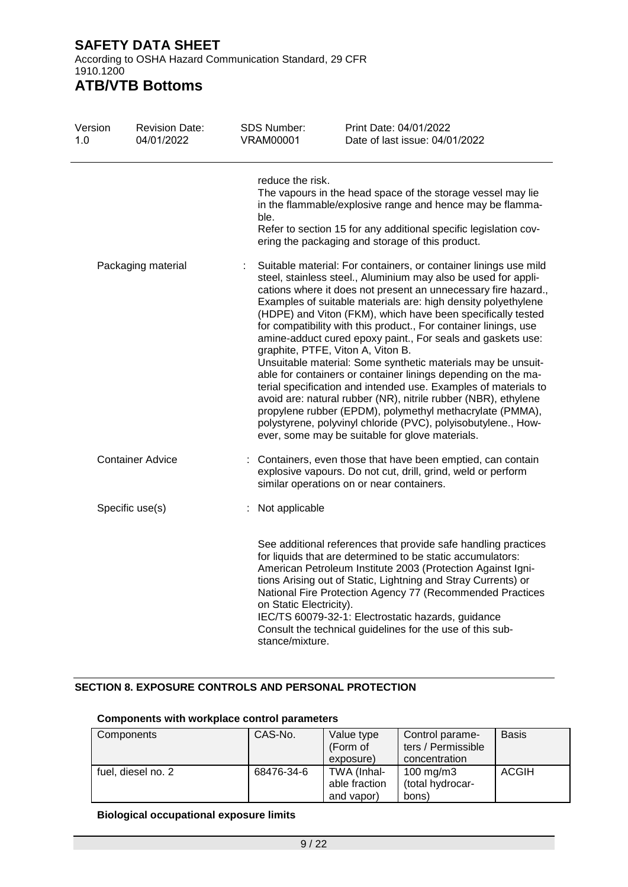According to OSHA Hazard Communication Standard, 29 CFR 1910.1200

### **ATB/VTB Bottoms**

| Version<br>1.0 | <b>Revision Date:</b><br>04/01/2022 | SDS Number:<br><b>VRAM00001</b>            | Print Date: 04/01/2022<br>Date of last issue: 04/01/2022                                                                                                                                                                                                                                                                                                                                                                                                                                                                                                                                                                                                                                                                                                                                                                                                                                                                                                           |
|----------------|-------------------------------------|--------------------------------------------|--------------------------------------------------------------------------------------------------------------------------------------------------------------------------------------------------------------------------------------------------------------------------------------------------------------------------------------------------------------------------------------------------------------------------------------------------------------------------------------------------------------------------------------------------------------------------------------------------------------------------------------------------------------------------------------------------------------------------------------------------------------------------------------------------------------------------------------------------------------------------------------------------------------------------------------------------------------------|
|                |                                     | reduce the risk.<br>ble.                   | The vapours in the head space of the storage vessel may lie<br>in the flammable/explosive range and hence may be flamma-<br>Refer to section 15 for any additional specific legislation cov-<br>ering the packaging and storage of this product.                                                                                                                                                                                                                                                                                                                                                                                                                                                                                                                                                                                                                                                                                                                   |
|                | Packaging material                  | ÷                                          | Suitable material: For containers, or container linings use mild<br>steel, stainless steel., Aluminium may also be used for appli-<br>cations where it does not present an unnecessary fire hazard.,<br>Examples of suitable materials are: high density polyethylene<br>(HDPE) and Viton (FKM), which have been specifically tested<br>for compatibility with this product., For container linings, use<br>amine-adduct cured epoxy paint., For seals and gaskets use:<br>graphite, PTFE, Viton A, Viton B.<br>Unsuitable material: Some synthetic materials may be unsuit-<br>able for containers or container linings depending on the ma-<br>terial specification and intended use. Examples of materials to<br>avoid are: natural rubber (NR), nitrile rubber (NBR), ethylene<br>propylene rubber (EPDM), polymethyl methacrylate (PMMA),<br>polystyrene, polyvinyl chloride (PVC), polyisobutylene., How-<br>ever, some may be suitable for glove materials. |
|                | <b>Container Advice</b>             |                                            | : Containers, even those that have been emptied, can contain<br>explosive vapours. Do not cut, drill, grind, weld or perform<br>similar operations on or near containers.                                                                                                                                                                                                                                                                                                                                                                                                                                                                                                                                                                                                                                                                                                                                                                                          |
|                | Specific use(s)                     | : Not applicable                           |                                                                                                                                                                                                                                                                                                                                                                                                                                                                                                                                                                                                                                                                                                                                                                                                                                                                                                                                                                    |
|                |                                     | on Static Electricity).<br>stance/mixture. | See additional references that provide safe handling practices<br>for liquids that are determined to be static accumulators:<br>American Petroleum Institute 2003 (Protection Against Igni-<br>tions Arising out of Static, Lightning and Stray Currents) or<br>National Fire Protection Agency 77 (Recommended Practices<br>IEC/TS 60079-32-1: Electrostatic hazards, guidance<br>Consult the technical guidelines for the use of this sub-                                                                                                                                                                                                                                                                                                                                                                                                                                                                                                                       |

### **SECTION 8. EXPOSURE CONTROLS AND PERSONAL PROTECTION**

#### **Components with workplace control parameters**

| Components         | CAS-No.    | Value type<br>(Form of<br>exposure)        | Control parame-<br>ters / Permissible<br>concentration | <b>Basis</b> |
|--------------------|------------|--------------------------------------------|--------------------------------------------------------|--------------|
| fuel, diesel no. 2 | 68476-34-6 | TWA (Inhal-<br>able fraction<br>and vapor) | $100 \text{ mg/m}$<br>(total hydrocar-<br>bons)        | <b>ACGIH</b> |

#### **Biological occupational exposure limits**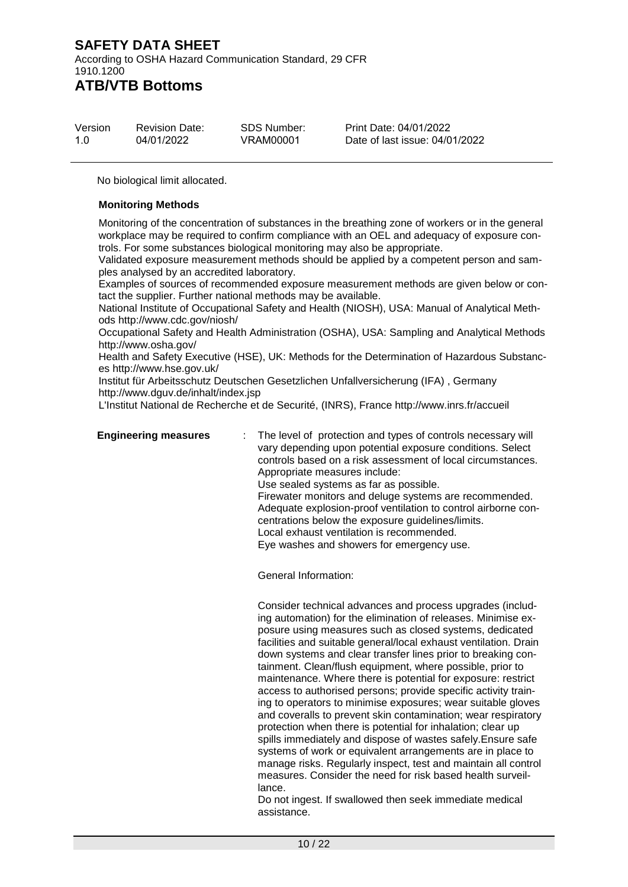According to OSHA Hazard Communication Standard, 29 CFR 1910.1200 **ATB/VTB Bottoms**

| Version | <b>Revision Date:</b> | SDS Number: | Print Date: 04/01/2022         |
|---------|-----------------------|-------------|--------------------------------|
| 1.0     | 04/01/2022            | VRAM00001   | Date of last issue: 04/01/2022 |

No biological limit allocated.

#### **Monitoring Methods**

Monitoring of the concentration of substances in the breathing zone of workers or in the general workplace may be required to confirm compliance with an OEL and adequacy of exposure controls. For some substances biological monitoring may also be appropriate.

Validated exposure measurement methods should be applied by a competent person and samples analysed by an accredited laboratory.

Examples of sources of recommended exposure measurement methods are given below or contact the supplier. Further national methods may be available.

National Institute of Occupational Safety and Health (NIOSH), USA: Manual of Analytical Methods http://www.cdc.gov/niosh/

Occupational Safety and Health Administration (OSHA), USA: Sampling and Analytical Methods http://www.osha.gov/

Health and Safety Executive (HSE), UK: Methods for the Determination of Hazardous Substances http://www.hse.gov.uk/

Institut für Arbeitsschutz Deutschen Gesetzlichen Unfallversicherung (IFA) , Germany http://www.dguv.de/inhalt/index.jsp

L'Institut National de Recherche et de Securité, (INRS), France http://www.inrs.fr/accueil

**Engineering measures** : The level of protection and types of controls necessary will vary depending upon potential exposure conditions. Select controls based on a risk assessment of local circumstances. Appropriate measures include: Use sealed systems as far as possible. Firewater monitors and deluge systems are recommended. Adequate explosion-proof ventilation to control airborne concentrations below the exposure guidelines/limits. Local exhaust ventilation is recommended. Eye washes and showers for emergency use.

General Information:

Consider technical advances and process upgrades (including automation) for the elimination of releases. Minimise exposure using measures such as closed systems, dedicated facilities and suitable general/local exhaust ventilation. Drain down systems and clear transfer lines prior to breaking containment. Clean/flush equipment, where possible, prior to maintenance. Where there is potential for exposure: restrict access to authorised persons; provide specific activity training to operators to minimise exposures; wear suitable gloves and coveralls to prevent skin contamination; wear respiratory protection when there is potential for inhalation; clear up spills immediately and dispose of wastes safely.Ensure safe systems of work or equivalent arrangements are in place to manage risks. Regularly inspect, test and maintain all control measures. Consider the need for risk based health surveillance.

Do not ingest. If swallowed then seek immediate medical assistance.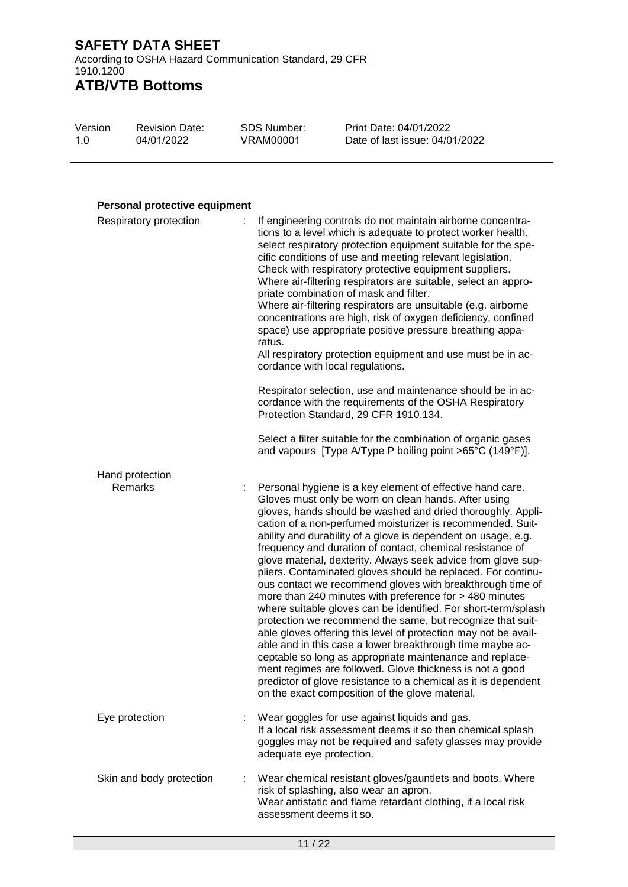According to OSHA Hazard Communication Standard, 29 CFR 1910.1200 **ATB/VTB Bottoms**

| Version | <b>Revision Date:</b> | SDS Number: | Print Date: 04/01/2022         |
|---------|-----------------------|-------------|--------------------------------|
| 1.0     | 04/01/2022            | VRAM00001   | Date of last issue: 04/01/2022 |

#### **Personal protective equipment**

| Respiratory protection   | If engineering controls do not maintain airborne concentra-<br>tions to a level which is adequate to protect worker health,<br>select respiratory protection equipment suitable for the spe-<br>cific conditions of use and meeting relevant legislation.<br>Check with respiratory protective equipment suppliers.<br>Where air-filtering respirators are suitable, select an appro-<br>priate combination of mask and filter.<br>Where air-filtering respirators are unsuitable (e.g. airborne<br>concentrations are high, risk of oxygen deficiency, confined<br>space) use appropriate positive pressure breathing appa-<br>ratus.<br>All respiratory protection equipment and use must be in ac-<br>cordance with local regulations.                                                                                                                                                                                                                                                                                                                                                                                                          |
|--------------------------|----------------------------------------------------------------------------------------------------------------------------------------------------------------------------------------------------------------------------------------------------------------------------------------------------------------------------------------------------------------------------------------------------------------------------------------------------------------------------------------------------------------------------------------------------------------------------------------------------------------------------------------------------------------------------------------------------------------------------------------------------------------------------------------------------------------------------------------------------------------------------------------------------------------------------------------------------------------------------------------------------------------------------------------------------------------------------------------------------------------------------------------------------|
|                          | Respirator selection, use and maintenance should be in ac-<br>cordance with the requirements of the OSHA Respiratory<br>Protection Standard, 29 CFR 1910.134.                                                                                                                                                                                                                                                                                                                                                                                                                                                                                                                                                                                                                                                                                                                                                                                                                                                                                                                                                                                      |
|                          | Select a filter suitable for the combination of organic gases<br>and vapours [Type A/Type P boiling point >65°C (149°F)].                                                                                                                                                                                                                                                                                                                                                                                                                                                                                                                                                                                                                                                                                                                                                                                                                                                                                                                                                                                                                          |
| Hand protection          |                                                                                                                                                                                                                                                                                                                                                                                                                                                                                                                                                                                                                                                                                                                                                                                                                                                                                                                                                                                                                                                                                                                                                    |
| Remarks                  | Personal hygiene is a key element of effective hand care.<br>Gloves must only be worn on clean hands. After using<br>gloves, hands should be washed and dried thoroughly. Appli-<br>cation of a non-perfumed moisturizer is recommended. Suit-<br>ability and durability of a glove is dependent on usage, e.g.<br>frequency and duration of contact, chemical resistance of<br>glove material, dexterity. Always seek advice from glove sup-<br>pliers. Contaminated gloves should be replaced. For continu-<br>ous contact we recommend gloves with breakthrough time of<br>more than 240 minutes with preference for > 480 minutes<br>where suitable gloves can be identified. For short-term/splash<br>protection we recommend the same, but recognize that suit-<br>able gloves offering this level of protection may not be avail-<br>able and in this case a lower breakthrough time maybe ac-<br>ceptable so long as appropriate maintenance and replace-<br>ment regimes are followed. Glove thickness is not a good<br>predictor of glove resistance to a chemical as it is dependent<br>on the exact composition of the glove material. |
| Eye protection           | Wear goggles for use against liquids and gas.<br>If a local risk assessment deems it so then chemical splash<br>goggles may not be required and safety glasses may provide<br>adequate eye protection.                                                                                                                                                                                                                                                                                                                                                                                                                                                                                                                                                                                                                                                                                                                                                                                                                                                                                                                                             |
| Skin and body protection | Wear chemical resistant gloves/gauntlets and boots. Where<br>risk of splashing, also wear an apron.<br>Wear antistatic and flame retardant clothing, if a local risk<br>assessment deems it so.                                                                                                                                                                                                                                                                                                                                                                                                                                                                                                                                                                                                                                                                                                                                                                                                                                                                                                                                                    |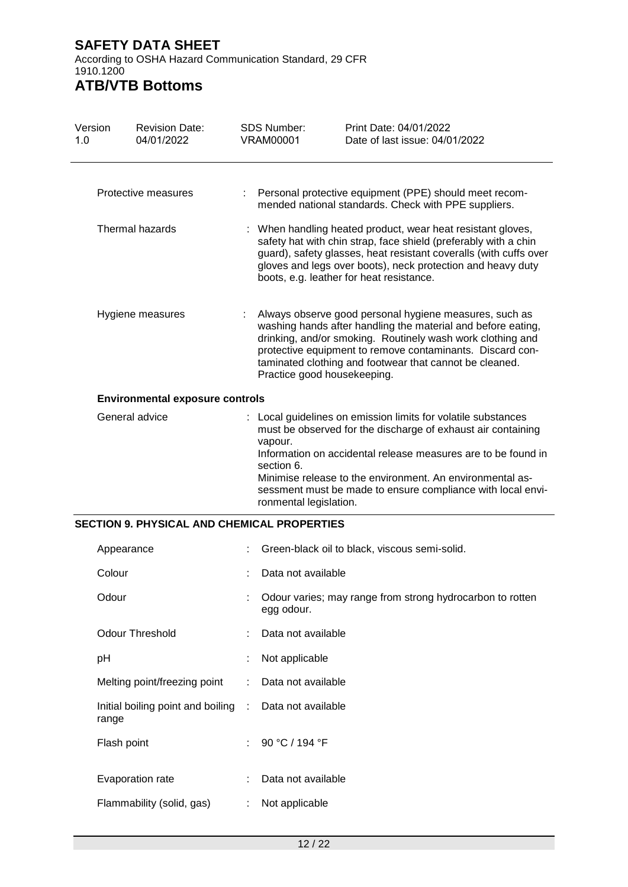According to OSHA Hazard Communication Standard, 29 CFR 1910.1200

# **ATB/VTB Bottoms**

| Version<br>1.0                         |            | <b>Revision Date:</b><br>04/01/2022                |   | SDS Number:<br><b>VRAM00001</b>                 | Print Date: 04/01/2022<br>Date of last issue: 04/01/2022                                                                                                                                                                                                                                                                   |
|----------------------------------------|------------|----------------------------------------------------|---|-------------------------------------------------|----------------------------------------------------------------------------------------------------------------------------------------------------------------------------------------------------------------------------------------------------------------------------------------------------------------------------|
|                                        |            | Protective measures                                | ÷ |                                                 | Personal protective equipment (PPE) should meet recom-<br>mended national standards. Check with PPE suppliers.                                                                                                                                                                                                             |
|                                        |            | Thermal hazards                                    |   |                                                 | When handling heated product, wear heat resistant gloves,<br>safety hat with chin strap, face shield (preferably with a chin<br>guard), safety glasses, heat resistant coveralls (with cuffs over<br>gloves and legs over boots), neck protection and heavy duty<br>boots, e.g. leather for heat resistance.               |
|                                        |            | Hygiene measures                                   | ÷ | Practice good housekeeping.                     | Always observe good personal hygiene measures, such as<br>washing hands after handling the material and before eating,<br>drinking, and/or smoking. Routinely wash work clothing and<br>protective equipment to remove contaminants. Discard con-<br>taminated clothing and footwear that cannot be cleaned.               |
| <b>Environmental exposure controls</b> |            |                                                    |   |                                                 |                                                                                                                                                                                                                                                                                                                            |
|                                        |            | General advice                                     |   | vapour.<br>section 6.<br>ronmental legislation. | : Local guidelines on emission limits for volatile substances<br>must be observed for the discharge of exhaust air containing<br>Information on accidental release measures are to be found in<br>Minimise release to the environment. An environmental as-<br>sessment must be made to ensure compliance with local envi- |
|                                        |            | <b>SECTION 9. PHYSICAL AND CHEMICAL PROPERTIES</b> |   |                                                 |                                                                                                                                                                                                                                                                                                                            |
|                                        | Appearance |                                                    |   |                                                 | Green-black oil to black, viscous semi-solid.                                                                                                                                                                                                                                                                              |
|                                        | Colour     |                                                    |   | Data not available                              |                                                                                                                                                                                                                                                                                                                            |
|                                        | Odour      |                                                    |   | egg odour.                                      | Odour varies; may range from strong hydrocarbon to rotten                                                                                                                                                                                                                                                                  |

- Odour Threshold : Data not available
- Melting point/freezing point : Data not available

pH : Not applicable

- Initial boiling point and boiling Data not available
- range Flash point : 90 °C / 194 °F Evaporation rate : Data not available Flammability (solid, gas) : Not applicable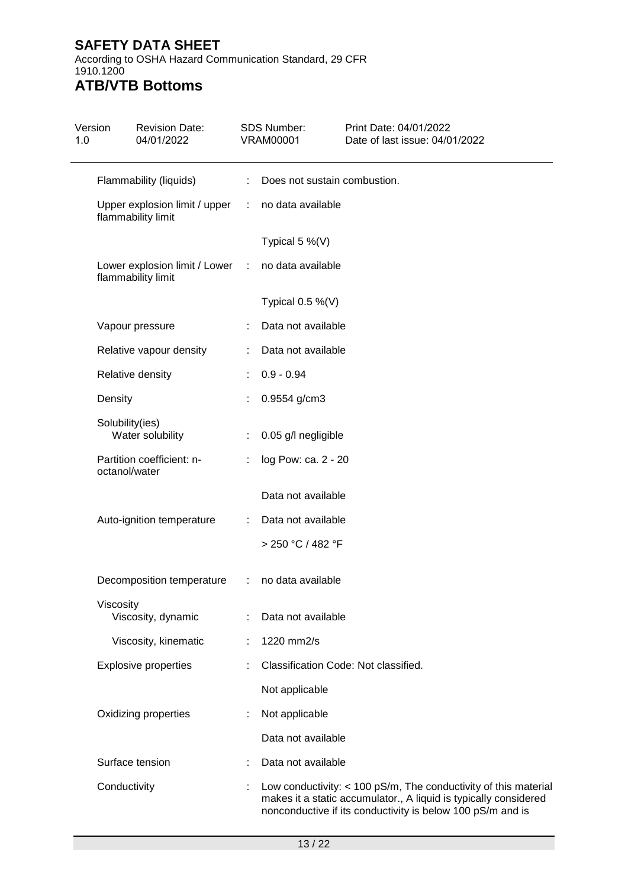According to OSHA Hazard Communication Standard, 29 CFR 1910.1200

#### **ATB/VTB Bottoms** Version Revision Date: SDS Number: Print Date: 04/01/2022

| 1.0 | 04/01/2022                                          |    | <b>VRAM00001</b>                     | Date of last issue: 04/01/2022                                                                                                                                                                      |
|-----|-----------------------------------------------------|----|--------------------------------------|-----------------------------------------------------------------------------------------------------------------------------------------------------------------------------------------------------|
|     | Flammability (liquids)                              | ÷. | Does not sustain combustion.         |                                                                                                                                                                                                     |
|     | Upper explosion limit / upper<br>flammability limit | ÷. | no data available                    |                                                                                                                                                                                                     |
|     |                                                     |    | Typical 5 $%$ (V)                    |                                                                                                                                                                                                     |
|     | Lower explosion limit / Lower<br>flammability limit | ÷. | no data available                    |                                                                                                                                                                                                     |
|     |                                                     |    | Typical $0.5\%$ (V)                  |                                                                                                                                                                                                     |
|     | Vapour pressure                                     |    | Data not available                   |                                                                                                                                                                                                     |
|     | Relative vapour density                             |    | Data not available                   |                                                                                                                                                                                                     |
|     | Relative density                                    |    | $0.9 - 0.94$                         |                                                                                                                                                                                                     |
|     | Density                                             |    | 0.9554 g/cm3                         |                                                                                                                                                                                                     |
|     | Solubility(ies)<br>Water solubility                 |    | 0.05 g/l negligible                  |                                                                                                                                                                                                     |
|     | Partition coefficient: n-<br>octanol/water          |    | log Pow: ca. 2 - 20                  |                                                                                                                                                                                                     |
|     |                                                     |    | Data not available                   |                                                                                                                                                                                                     |
|     | Auto-ignition temperature                           |    | Data not available                   |                                                                                                                                                                                                     |
|     |                                                     |    | > 250 °C / 482 °F                    |                                                                                                                                                                                                     |
|     | Decomposition temperature                           |    | : no data available                  |                                                                                                                                                                                                     |
|     | Viscosity<br>Viscosity, dynamic                     |    | Data not available                   |                                                                                                                                                                                                     |
|     | Viscosity, kinematic                                |    | 1220 mm2/s                           |                                                                                                                                                                                                     |
|     | <b>Explosive properties</b>                         |    | Classification Code: Not classified. |                                                                                                                                                                                                     |
|     |                                                     |    | Not applicable                       |                                                                                                                                                                                                     |
|     | Oxidizing properties                                |    | Not applicable                       |                                                                                                                                                                                                     |
|     |                                                     |    | Data not available                   |                                                                                                                                                                                                     |
|     | Surface tension                                     |    | Data not available                   |                                                                                                                                                                                                     |
|     | Conductivity                                        |    |                                      | Low conductivity: $<$ 100 pS/m, The conductivity of this material<br>makes it a static accumulator., A liquid is typically considered<br>nonconductive if its conductivity is below 100 pS/m and is |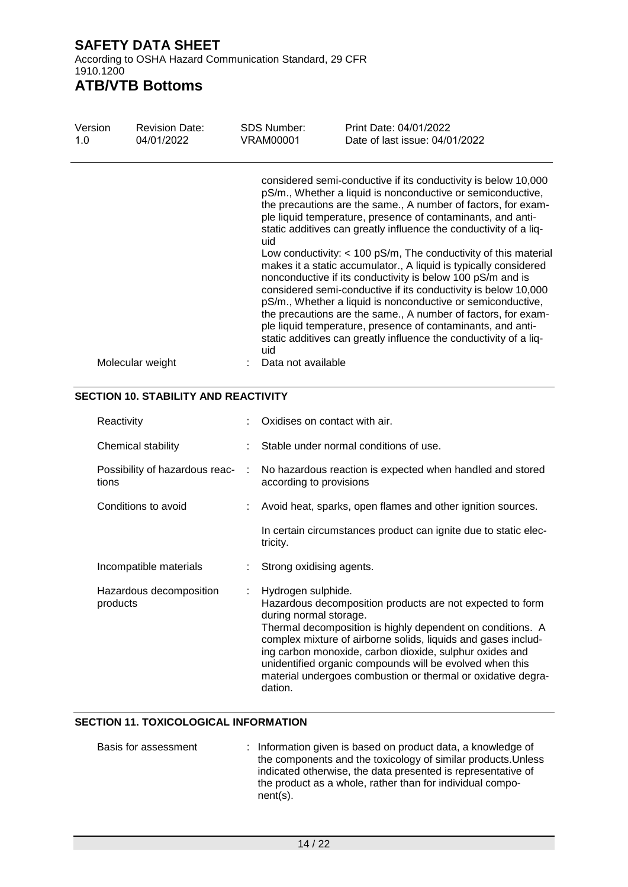According to OSHA Hazard Communication Standard, 29 CFR 1910.1200

### **ATB/VTB Bottoms**

| Version<br>1.0 | <b>Revision Date:</b><br>04/01/2022 | <b>SDS Number:</b><br>VRAM00001 | Print Date: 04/01/2022<br>Date of last issue: 04/01/2022                                                                                                                                                                                                                                                                                                                                                                                                                                                                                                                                                                                                                                                                                                                                                                                                                        |
|----------------|-------------------------------------|---------------------------------|---------------------------------------------------------------------------------------------------------------------------------------------------------------------------------------------------------------------------------------------------------------------------------------------------------------------------------------------------------------------------------------------------------------------------------------------------------------------------------------------------------------------------------------------------------------------------------------------------------------------------------------------------------------------------------------------------------------------------------------------------------------------------------------------------------------------------------------------------------------------------------|
|                |                                     | uid<br>uid                      | considered semi-conductive if its conductivity is below 10,000<br>pS/m., Whether a liquid is nonconductive or semiconductive,<br>the precautions are the same., A number of factors, for exam-<br>ple liquid temperature, presence of contaminants, and anti-<br>static additives can greatly influence the conductivity of a liq-<br>Low conductivity: $<$ 100 pS/m, The conductivity of this material<br>makes it a static accumulator., A liquid is typically considered<br>nonconductive if its conductivity is below 100 pS/m and is<br>considered semi-conductive if its conductivity is below 10,000<br>pS/m., Whether a liquid is nonconductive or semiconductive,<br>the precautions are the same., A number of factors, for exam-<br>ple liquid temperature, presence of contaminants, and anti-<br>static additives can greatly influence the conductivity of a liq- |
|                | Molecular weight                    | Data not available              |                                                                                                                                                                                                                                                                                                                                                                                                                                                                                                                                                                                                                                                                                                                                                                                                                                                                                 |

#### **SECTION 10. STABILITY AND REACTIVITY**

| Reactivity                              |   | Oxidises on contact with air.                                                                                                                                                                                                                                                                                                                                                                                                              |  |
|-----------------------------------------|---|--------------------------------------------------------------------------------------------------------------------------------------------------------------------------------------------------------------------------------------------------------------------------------------------------------------------------------------------------------------------------------------------------------------------------------------------|--|
| Chemical stability                      |   | Stable under normal conditions of use.                                                                                                                                                                                                                                                                                                                                                                                                     |  |
| Possibility of hazardous reac-<br>tions | ÷ | No hazardous reaction is expected when handled and stored<br>according to provisions                                                                                                                                                                                                                                                                                                                                                       |  |
| Conditions to avoid                     |   | : Avoid heat, sparks, open flames and other ignition sources.                                                                                                                                                                                                                                                                                                                                                                              |  |
|                                         |   | In certain circumstances product can ignite due to static elec-<br>tricity.                                                                                                                                                                                                                                                                                                                                                                |  |
| Incompatible materials                  |   | Strong oxidising agents.                                                                                                                                                                                                                                                                                                                                                                                                                   |  |
| Hazardous decomposition<br>products     |   | Hydrogen sulphide.<br>Hazardous decomposition products are not expected to form<br>during normal storage.<br>Thermal decomposition is highly dependent on conditions. A<br>complex mixture of airborne solids, liquids and gases includ-<br>ing carbon monoxide, carbon dioxide, sulphur oxides and<br>unidentified organic compounds will be evolved when this<br>material undergoes combustion or thermal or oxidative degra-<br>dation. |  |

#### **SECTION 11. TOXICOLOGICAL INFORMATION**

| Basis for assessment | : Information given is based on product data, a knowledge of  |
|----------------------|---------------------------------------------------------------|
|                      | the components and the toxicology of similar products. Unless |
|                      | indicated otherwise, the data presented is representative of  |
|                      | the product as a whole, rather than for individual compo-     |
|                      | $nent(s)$ .                                                   |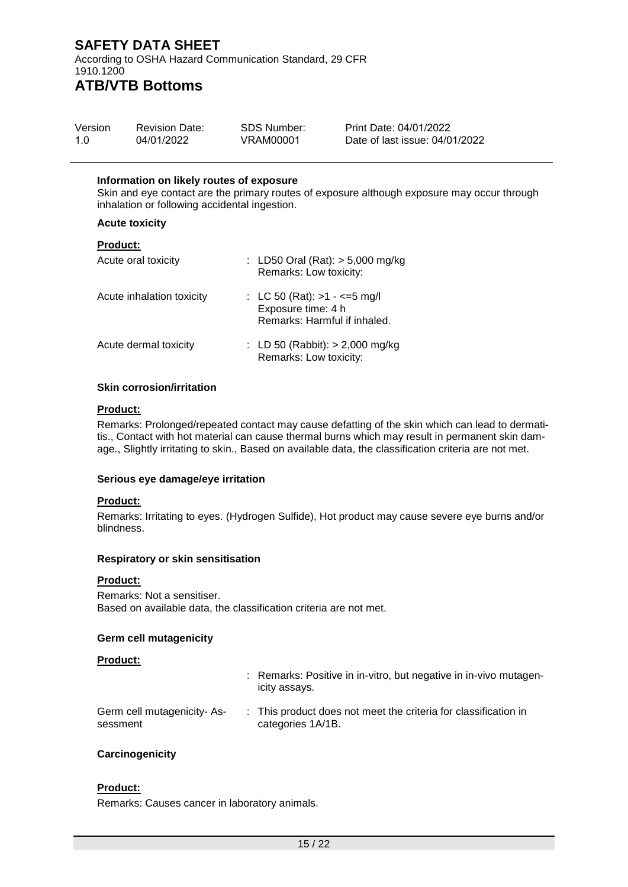According to OSHA Hazard Communication Standard, 29 CFR 1910.1200 **ATB/VTB Bottoms**

| Version | <b>Revision Date:</b> | SDS Number: | Print Date: 04/01/2022         |
|---------|-----------------------|-------------|--------------------------------|
| 1.0     | 04/01/2022            | VRAM00001   | Date of last issue: 04/01/2022 |

#### **Information on likely routes of exposure**

Skin and eye contact are the primary routes of exposure although exposure may occur through inhalation or following accidental ingestion.

#### **Acute toxicity**

|  | <b>Product:</b> |  |
|--|-----------------|--|
|  |                 |  |

| Acute oral toxicity       | : LD50 Oral (Rat): $>$ 5,000 mg/kg<br>Remarks: Low toxicity:                       |
|---------------------------|------------------------------------------------------------------------------------|
| Acute inhalation toxicity | : LC 50 (Rat): $>1 - 5$ mg/l<br>Exposure time: 4 h<br>Remarks: Harmful if inhaled. |
| Acute dermal toxicity     | : LD 50 (Rabbit): $> 2,000$ mg/kg<br>Remarks: Low toxicity:                        |

#### **Skin corrosion/irritation**

#### **Product:**

Remarks: Prolonged/repeated contact may cause defatting of the skin which can lead to dermatitis., Contact with hot material can cause thermal burns which may result in permanent skin damage., Slightly irritating to skin., Based on available data, the classification criteria are not met.

#### **Serious eye damage/eye irritation**

#### **Product:**

Remarks: Irritating to eyes. (Hydrogen Sulfide), Hot product may cause severe eye burns and/or blindness.

#### **Respiratory or skin sensitisation**

#### **Product:**

Remarks: Not a sensitiser. Based on available data, the classification criteria are not met.

#### **Germ cell mutagenicity**

#### **Product:**

|                                        | : Remarks: Positive in in-vitro, but negative in in-vivo mutagen-<br>icity assays.   |
|----------------------------------------|--------------------------------------------------------------------------------------|
| Germ cell mutagenicity-As-<br>sessment | : This product does not meet the criteria for classification in<br>categories 1A/1B. |

#### **Carcinogenicity**

#### **Product:**

Remarks: Causes cancer in laboratory animals.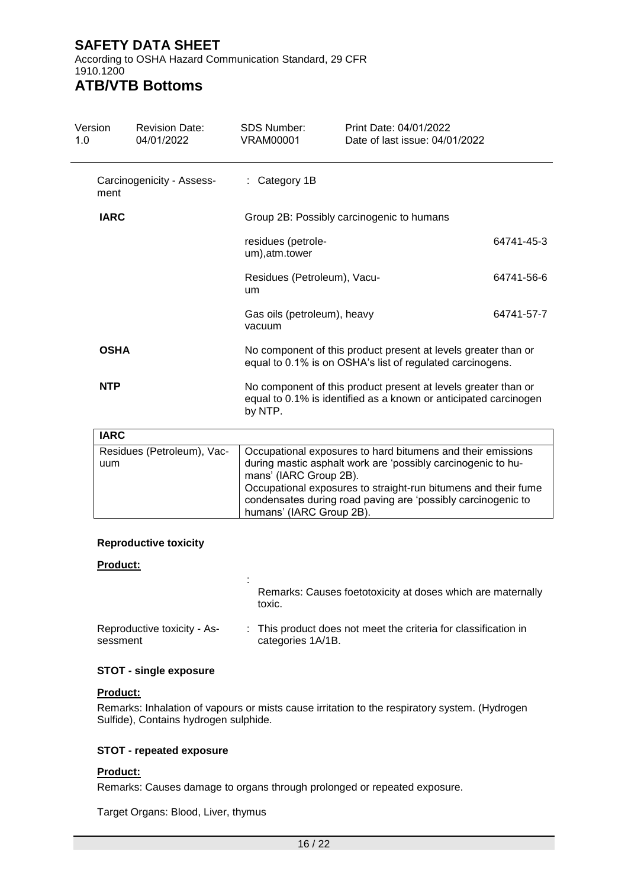According to OSHA Hazard Communication Standard, 29 CFR 1910.1200

# **ATB/VTB Bottoms**

| Version<br>1.0 | <b>Revision Date:</b><br>04/01/2022 | <b>SDS Number:</b><br><b>VRAM00001</b> | Print Date: 04/01/2022<br>Date of last issue: 04/01/2022                                                                                                                                      |            |
|----------------|-------------------------------------|----------------------------------------|-----------------------------------------------------------------------------------------------------------------------------------------------------------------------------------------------|------------|
| ment           | Carcinogenicity - Assess-           | : Category 1B                          |                                                                                                                                                                                               |            |
| <b>IARC</b>    |                                     |                                        | Group 2B: Possibly carcinogenic to humans                                                                                                                                                     |            |
|                |                                     | residues (petrole-<br>um), atm.tower   |                                                                                                                                                                                               | 64741-45-3 |
|                |                                     | Residues (Petroleum), Vacu-<br>um      |                                                                                                                                                                                               | 64741-56-6 |
|                |                                     | Gas oils (petroleum), heavy<br>vacuum  |                                                                                                                                                                                               | 64741-57-7 |
| <b>OSHA</b>    |                                     |                                        | No component of this product present at levels greater than or<br>equal to 0.1% is on OSHA's list of regulated carcinogens.                                                                   |            |
| <b>NTP</b>     |                                     | by NTP.                                | No component of this product present at levels greater than or<br>equal to 0.1% is identified as a known or anticipated carcinogen                                                            |            |
| <b>IARC</b>    |                                     |                                        |                                                                                                                                                                                               |            |
| uum            | Residues (Petroleum), Vac-          | mans' (IARC Group 2B).                 | Occupational exposures to hard bitumens and their emissions<br>during mastic asphalt work are 'possibly carcinogenic to hu-<br>Occupational exposures to straight-run bitumens and their fume |            |

#### **Reproductive toxicity**

#### **Product:**

|                                         | Remarks: Causes foetotoxicity at doses which are maternally<br>toxic.                |
|-----------------------------------------|--------------------------------------------------------------------------------------|
| Reproductive toxicity - As-<br>sessment | : This product does not meet the criteria for classification in<br>categories 1A/1B. |

humans' (IARC Group 2B).

condensates during road paving are 'possibly carcinogenic to

#### **STOT - single exposure**

#### **Product:**

Remarks: Inhalation of vapours or mists cause irritation to the respiratory system. (Hydrogen Sulfide), Contains hydrogen sulphide.

#### **STOT - repeated exposure**

#### **Product:**

Remarks: Causes damage to organs through prolonged or repeated exposure.

Target Organs: Blood, Liver, thymus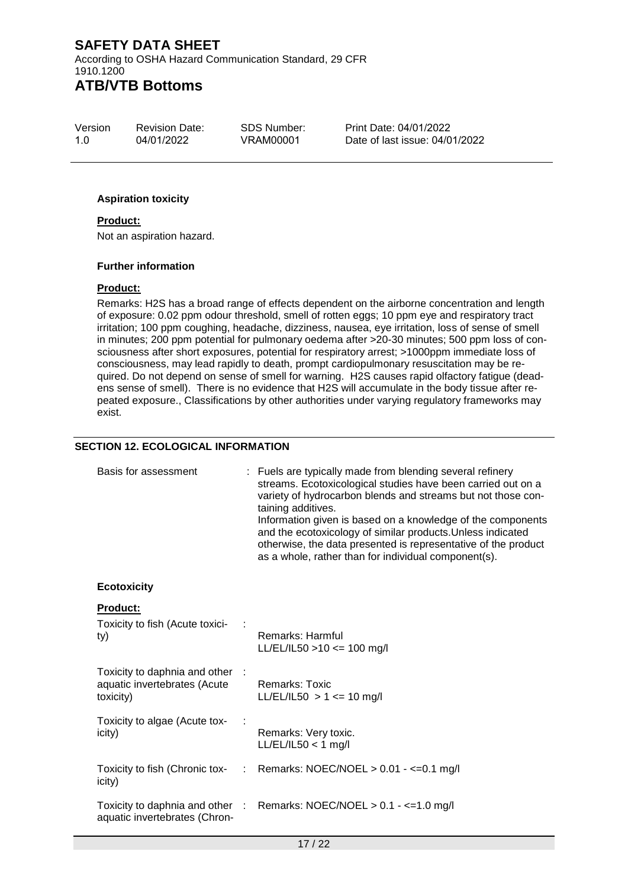According to OSHA Hazard Communication Standard, 29 CFR 1910.1200 **ATB/VTB Bottoms**

Version 1.0 Revision Date: 04/01/2022

SDS Number: VRAM00001

Print Date: 04/01/2022 Date of last issue: 04/01/2022

#### **Aspiration toxicity**

#### **Product:**

Not an aspiration hazard.

#### **Further information**

#### **Product:**

Remarks: H2S has a broad range of effects dependent on the airborne concentration and length of exposure: 0.02 ppm odour threshold, smell of rotten eggs; 10 ppm eye and respiratory tract irritation; 100 ppm coughing, headache, dizziness, nausea, eye irritation, loss of sense of smell in minutes; 200 ppm potential for pulmonary oedema after >20-30 minutes; 500 ppm loss of consciousness after short exposures, potential for respiratory arrest; >1000ppm immediate loss of consciousness, may lead rapidly to death, prompt cardiopulmonary resuscitation may be required. Do not depend on sense of smell for warning. H2S causes rapid olfactory fatigue (deadens sense of smell). There is no evidence that H2S will accumulate in the body tissue after repeated exposure., Classifications by other authorities under varying regulatory frameworks may exist.

#### **SECTION 12. ECOLOGICAL INFORMATION**

| Basis for assessment                                                       |    | : Fuels are typically made from blending several refinery<br>streams. Ecotoxicological studies have been carried out on a<br>variety of hydrocarbon blends and streams but not those con-<br>taining additives.<br>Information given is based on a knowledge of the components<br>and the ecotoxicology of similar products. Unless indicated<br>otherwise, the data presented is representative of the product<br>as a whole, rather than for individual component(s). |
|----------------------------------------------------------------------------|----|-------------------------------------------------------------------------------------------------------------------------------------------------------------------------------------------------------------------------------------------------------------------------------------------------------------------------------------------------------------------------------------------------------------------------------------------------------------------------|
| <b>Ecotoxicity</b>                                                         |    |                                                                                                                                                                                                                                                                                                                                                                                                                                                                         |
| <b>Product:</b><br>Toxicity to fish (Acute toxici-<br>ty)                  |    | Remarks: Harmful<br>$LL/EL/IL50 > 10 \le 100$ mg/l                                                                                                                                                                                                                                                                                                                                                                                                                      |
| Toxicity to daphnia and other<br>aquatic invertebrates (Acute<br>toxicity) |    | <b>Remarks: Toxic</b><br>$LL/EL/IL50 > 1 \le 10$ mg/l                                                                                                                                                                                                                                                                                                                                                                                                                   |
| Toxicity to algae (Acute tox-<br>icity)                                    |    | Remarks: Very toxic.<br>$LL/EL/IL50 < 1$ mg/l                                                                                                                                                                                                                                                                                                                                                                                                                           |
| Toxicity to fish (Chronic tox-<br>icity)                                   | ÷. | Remarks: NOEC/NOEL > 0.01 - <= 0.1 mg/l                                                                                                                                                                                                                                                                                                                                                                                                                                 |
| aquatic invertebrates (Chron-                                              |    | Toxicity to daphnia and other : Remarks: NOEC/NOEL > 0.1 - <= 1.0 mg/l                                                                                                                                                                                                                                                                                                                                                                                                  |
|                                                                            |    | 17/22                                                                                                                                                                                                                                                                                                                                                                                                                                                                   |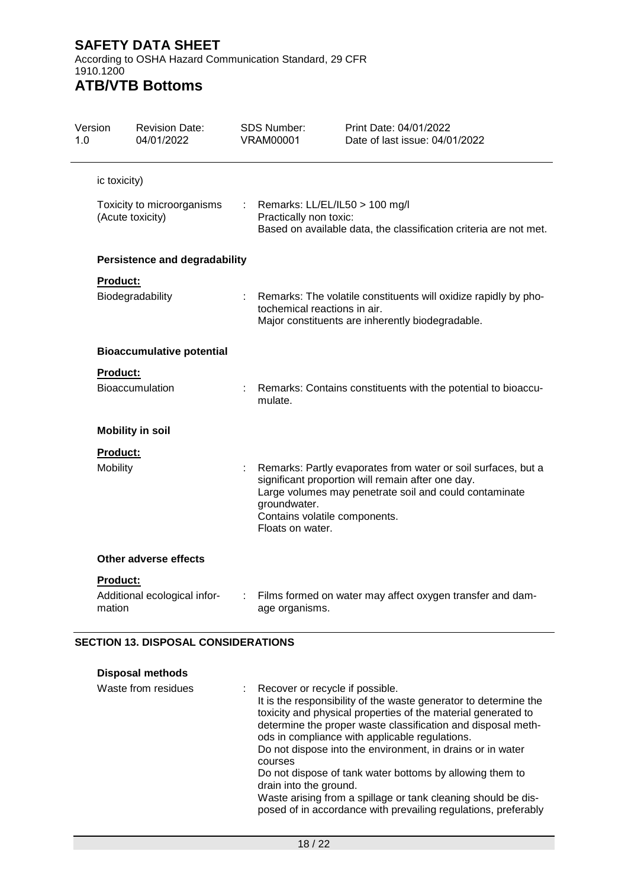According to OSHA Hazard Communication Standard, 29 CFR 1910.1200

### **ATB/VTB Bottoms**

| Version<br>1.0 |                             | <b>Revision Date:</b><br>04/01/2022            |    | <b>SDS Number:</b><br><b>VRAM00001</b>                            | Print Date: 04/01/2022<br>Date of last issue: 04/01/2022                                                                                                                     |
|----------------|-----------------------------|------------------------------------------------|----|-------------------------------------------------------------------|------------------------------------------------------------------------------------------------------------------------------------------------------------------------------|
|                | ic toxicity)                |                                                |    |                                                                   |                                                                                                                                                                              |
|                |                             | Toxicity to microorganisms<br>(Acute toxicity) | t. | Remarks: LL/EL/IL50 > 100 mg/l<br>Practically non toxic:          | Based on available data, the classification criteria are not met.                                                                                                            |
|                |                             | <b>Persistence and degradability</b>           |    |                                                                   |                                                                                                                                                                              |
|                | Product:                    | Biodegradability                               |    | tochemical reactions in air.                                      | Remarks: The volatile constituents will oxidize rapidly by pho-<br>Major constituents are inherently biodegradable.                                                          |
|                |                             | <b>Bioaccumulative potential</b>               |    |                                                                   |                                                                                                                                                                              |
|                | Product:                    | Bioaccumulation                                |    | mulate.                                                           | Remarks: Contains constituents with the potential to bioaccu-                                                                                                                |
|                |                             | <b>Mobility in soil</b>                        |    |                                                                   |                                                                                                                                                                              |
|                | <b>Product:</b><br>Mobility |                                                |    | groundwater.<br>Contains volatile components.<br>Floats on water. | Remarks: Partly evaporates from water or soil surfaces, but a<br>significant proportion will remain after one day.<br>Large volumes may penetrate soil and could contaminate |
|                |                             | Other adverse effects                          |    |                                                                   |                                                                                                                                                                              |
|                | <b>Product:</b><br>mation   | Additional ecological infor-                   |    | age organisms.                                                    | Films formed on water may affect oxygen transfer and dam-                                                                                                                    |

#### **SECTION 13. DISPOSAL CONSIDERATIONS**

| <b>Disposal methods</b> |                                                                                                                                                                                                                                                                                                                                                                                                                                                                                                                                                                                            |
|-------------------------|--------------------------------------------------------------------------------------------------------------------------------------------------------------------------------------------------------------------------------------------------------------------------------------------------------------------------------------------------------------------------------------------------------------------------------------------------------------------------------------------------------------------------------------------------------------------------------------------|
| Waste from residues     | : Recover or recycle if possible.<br>It is the responsibility of the waste generator to determine the<br>toxicity and physical properties of the material generated to<br>determine the proper waste classification and disposal meth-<br>ods in compliance with applicable regulations.<br>Do not dispose into the environment, in drains or in water<br>courses<br>Do not dispose of tank water bottoms by allowing them to<br>drain into the ground.<br>Waste arising from a spillage or tank cleaning should be dis-<br>posed of in accordance with prevailing regulations, preferably |
|                         |                                                                                                                                                                                                                                                                                                                                                                                                                                                                                                                                                                                            |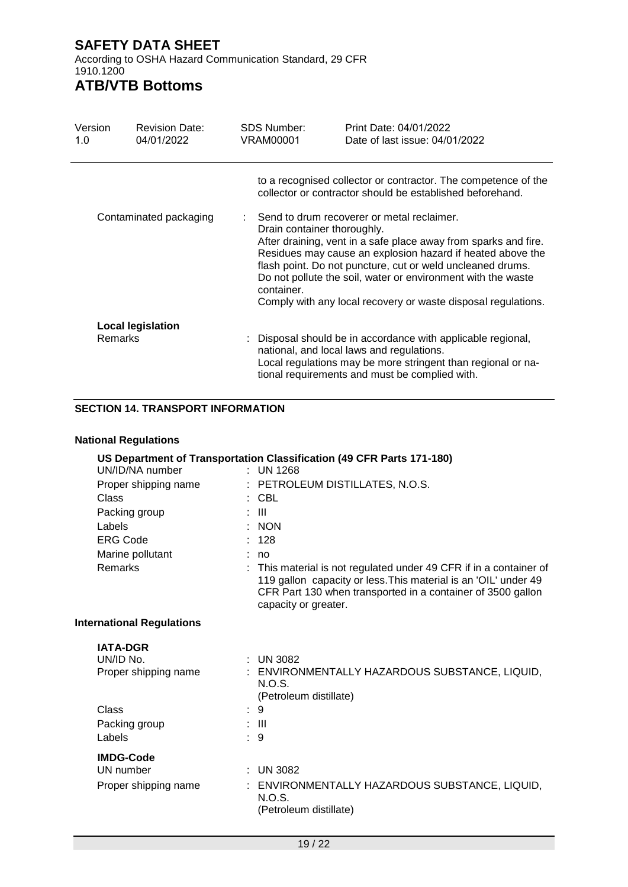According to OSHA Hazard Communication Standard, 29 CFR 1910.1200

# **ATB/VTB Bottoms**

| Version<br>1.0 | <b>Revision Date:</b><br>04/01/2022                                                                               | <b>SDS Number:</b><br>VRAM00001 | Print Date: 04/01/2022<br>Date of last issue: 04/01/2022                                                                                                                                                                                                                                                                     |
|----------------|-------------------------------------------------------------------------------------------------------------------|---------------------------------|------------------------------------------------------------------------------------------------------------------------------------------------------------------------------------------------------------------------------------------------------------------------------------------------------------------------------|
|                |                                                                                                                   |                                 | to a recognised collector or contractor. The competence of the<br>collector or contractor should be established beforehand.                                                                                                                                                                                                  |
|                | Contaminated packaging<br>Send to drum recoverer or metal reclaimer.<br>Drain container thoroughly.<br>container. |                                 | After draining, vent in a safe place away from sparks and fire.<br>Residues may cause an explosion hazard if heated above the<br>flash point. Do not puncture, cut or weld uncleaned drums.<br>Do not pollute the soil, water or environment with the waste<br>Comply with any local recovery or waste disposal regulations. |
|                | <b>Local legislation</b>                                                                                          |                                 |                                                                                                                                                                                                                                                                                                                              |
| <b>Remarks</b> |                                                                                                                   |                                 | : Disposal should be in accordance with applicable regional,<br>national, and local laws and regulations.<br>Local regulations may be more stringent than regional or na-<br>tional requirements and must be complied with.                                                                                                  |

#### **SECTION 14. TRANSPORT INFORMATION**

#### **National Regulations**

|                                  | US Department of Transportation Classification (49 CFR Parts 171-180)                                                                                                                                                      |
|----------------------------------|----------------------------------------------------------------------------------------------------------------------------------------------------------------------------------------------------------------------------|
| UN/ID/NA number                  | : UN 1268                                                                                                                                                                                                                  |
| Proper shipping name             | : PETROLEUM DISTILLATES, N.O.S.                                                                                                                                                                                            |
| Class                            | $:$ CBL                                                                                                                                                                                                                    |
| Packing group                    | -III                                                                                                                                                                                                                       |
| Labels                           | <b>NON</b>                                                                                                                                                                                                                 |
| <b>ERG Code</b>                  | : 128                                                                                                                                                                                                                      |
| Marine pollutant                 | no                                                                                                                                                                                                                         |
| Remarks                          | This material is not regulated under 49 CFR if in a container of<br>119 gallon capacity or less. This material is an 'OIL' under 49<br>CFR Part 130 when transported in a container of 3500 gallon<br>capacity or greater. |
| <b>International Regulations</b> |                                                                                                                                                                                                                            |
| <b>IATA-DGR</b>                  |                                                                                                                                                                                                                            |
| UN/ID No.                        | <b>UN 3082</b>                                                                                                                                                                                                             |
| Proper shipping name             | : ENVIRONMENTALLY HAZARDOUS SUBSTANCE, LIQUID,<br>N.O.S.<br>(Petroleum distillate)                                                                                                                                         |
| Class                            | :9                                                                                                                                                                                                                         |
| Packing group                    | : III                                                                                                                                                                                                                      |
| Labels                           | $\therefore$ 9                                                                                                                                                                                                             |
| <b>IMDG-Code</b>                 |                                                                                                                                                                                                                            |
| UN number                        | $:$ UN 3082                                                                                                                                                                                                                |
| Proper shipping name             | ENVIRONMENTALLY HAZARDOUS SUBSTANCE, LIQUID,<br>N.O.S.<br>(Petroleum distillate)                                                                                                                                           |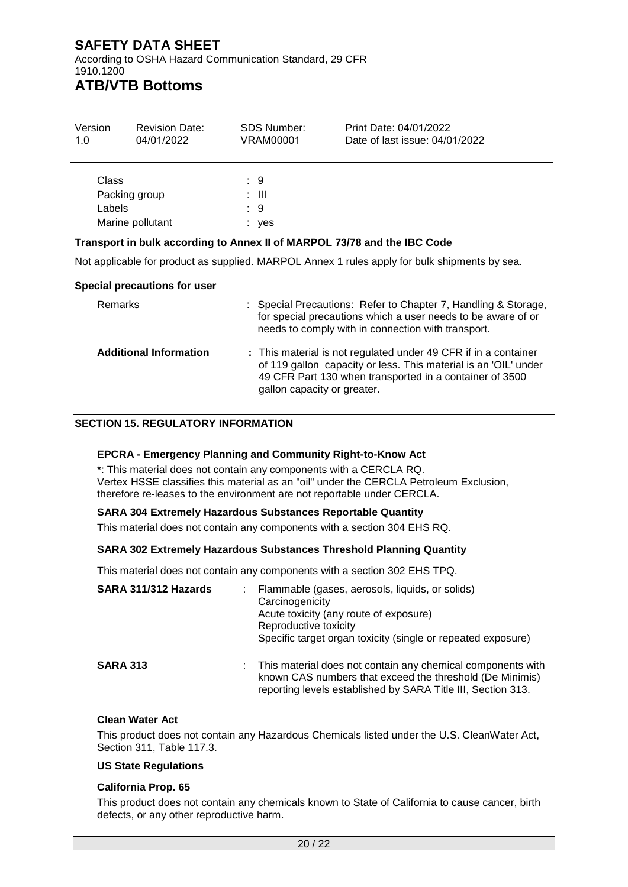According to OSHA Hazard Communication Standard, 29 CFR 1910.1200

# **ATB/VTB Bottoms**

| Version<br>1.0                   | <b>Revision Date:</b><br>04/01/2022                                      | <b>SDS Number:</b><br>VRAM00001 | Print Date: 04/01/2022<br>Date of last issue: 04/01/2022 |  |
|----------------------------------|--------------------------------------------------------------------------|---------------------------------|----------------------------------------------------------|--|
| Class<br>Packing group<br>Labels | Marine pollutant                                                         | : 9<br>: III<br>: 9<br>: yes    |                                                          |  |
|                                  | Transport in bulk according to Annex II of MARPOL 73/78 and the IBC Code |                                 |                                                          |  |

Not applicable for product as supplied. MARPOL Annex 1 rules apply for bulk shipments by sea.

#### **Special precautions for user**

| Remarks                       | : Special Precautions: Refer to Chapter 7, Handling & Storage,<br>for special precautions which a user needs to be aware of or<br>needs to comply with in connection with transport.                                         |
|-------------------------------|------------------------------------------------------------------------------------------------------------------------------------------------------------------------------------------------------------------------------|
| <b>Additional Information</b> | : This material is not regulated under 49 CFR if in a container<br>of 119 gallon capacity or less. This material is an 'OIL' under<br>49 CFR Part 130 when transported in a container of 3500<br>gallon capacity or greater. |

#### **SECTION 15. REGULATORY INFORMATION**

#### **EPCRA - Emergency Planning and Community Right-to-Know Act**

\*: This material does not contain any components with a CERCLA RQ. Vertex HSSE classifies this material as an "oil" under the CERCLA Petroleum Exclusion, therefore re-leases to the environment are not reportable under CERCLA.

#### **SARA 304 Extremely Hazardous Substances Reportable Quantity**

This material does not contain any components with a section 304 EHS RQ.

#### **SARA 302 Extremely Hazardous Substances Threshold Planning Quantity**

This material does not contain any components with a section 302 EHS TPQ.

| SARA 311/312 Hazards | Flammable (gases, aerosols, liquids, or solids)<br>Carcinogenicity<br>Acute toxicity (any route of exposure)<br>Reproductive toxicity<br>Specific target organ toxicity (single or repeated exposure) |
|----------------------|-------------------------------------------------------------------------------------------------------------------------------------------------------------------------------------------------------|
| <b>SARA 313</b>      | This material does not contain any chemical components with<br>known CAS numbers that exceed the threshold (De Minimis)<br>reporting levels established by SARA Title III, Section 313.               |

#### **Clean Water Act**

This product does not contain any Hazardous Chemicals listed under the U.S. CleanWater Act, Section 311, Table 117.3.

#### **US State Regulations**

#### **California Prop. 65**

This product does not contain any chemicals known to State of California to cause cancer, birth defects, or any other reproductive harm.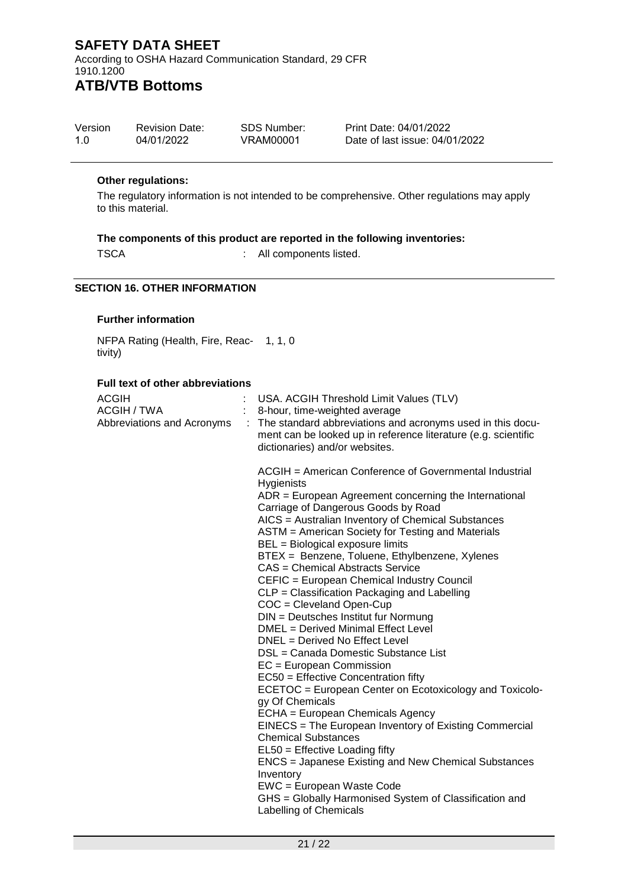According to OSHA Hazard Communication Standard, 29 CFR 1910.1200 **ATB/VTB Bottoms**

| Version | <b>Revision Date:</b> | SDS Number: | Print Date: 04/01/2022         |
|---------|-----------------------|-------------|--------------------------------|
| 1.O     | 04/01/2022            | VRAM00001   | Date of last issue: 04/01/2022 |

#### **Other regulations:**

The regulatory information is not intended to be comprehensive. Other regulations may apply to this material.

#### **The components of this product are reported in the following inventories:**

TSCA : All components listed.

#### **SECTION 16. OTHER INFORMATION**

#### **Further information**

NFPA Rating (Health, Fire, Reac-1, 1, 0 tivity)

#### **Full text of other abbreviations**

| <b>ACGIH</b><br>ACGIH / TWA |   | USA. ACGIH Threshold Limit Values (TLV)<br>8-hour, time-weighted average                                                                                                                                                                                                                                                                                                                                                                                                                                                                                                                                                                                                                                                                                                                                                                                                                                                                                                                                                                                                                                                                                                                                  |
|-----------------------------|---|-----------------------------------------------------------------------------------------------------------------------------------------------------------------------------------------------------------------------------------------------------------------------------------------------------------------------------------------------------------------------------------------------------------------------------------------------------------------------------------------------------------------------------------------------------------------------------------------------------------------------------------------------------------------------------------------------------------------------------------------------------------------------------------------------------------------------------------------------------------------------------------------------------------------------------------------------------------------------------------------------------------------------------------------------------------------------------------------------------------------------------------------------------------------------------------------------------------|
| Abbreviations and Acronyms  | ÷ | The standard abbreviations and acronyms used in this docu-<br>ment can be looked up in reference literature (e.g. scientific<br>dictionaries) and/or websites.                                                                                                                                                                                                                                                                                                                                                                                                                                                                                                                                                                                                                                                                                                                                                                                                                                                                                                                                                                                                                                            |
|                             |   | ACGIH = American Conference of Governmental Industrial<br>Hygienists<br>$ADR = European Agreement concerning the International$<br>Carriage of Dangerous Goods by Road<br>AICS = Australian Inventory of Chemical Substances<br>ASTM = American Society for Testing and Materials<br>BEL = Biological exposure limits<br>BTEX = Benzene, Toluene, Ethylbenzene, Xylenes<br>CAS = Chemical Abstracts Service<br>CEFIC = European Chemical Industry Council<br>CLP = Classification Packaging and Labelling<br>$COC = C$ leveland Open-Cup<br>DIN = Deutsches Institut fur Normung<br>DMEL = Derived Minimal Effect Level<br>DNEL = Derived No Effect Level<br>DSL = Canada Domestic Substance List<br>$EC = European Commission$<br>EC50 = Effective Concentration fifty<br>ECETOC = European Center on Ecotoxicology and Toxicolo-<br>gy Of Chemicals<br>ECHA = European Chemicals Agency<br>EINECS = The European Inventory of Existing Commercial<br><b>Chemical Substances</b><br>EL50 = Effective Loading fifty<br>ENCS = Japanese Existing and New Chemical Substances<br>Inventory<br>EWC = European Waste Code<br>GHS = Globally Harmonised System of Classification and<br>Labelling of Chemicals |